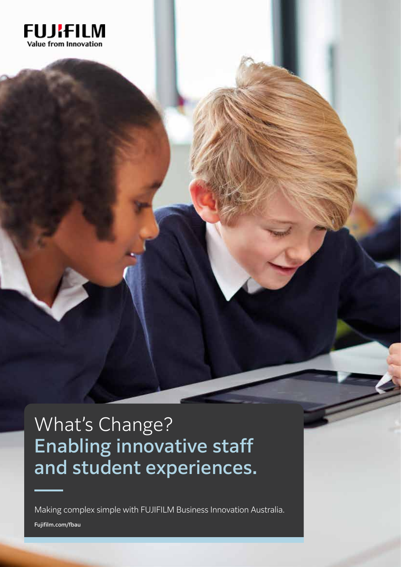

## What's Change? Enabling innovative staff and student experiences.

Making complex simple with FUJIFILM Business Innovation Australia.

Fujifilm.com/fbau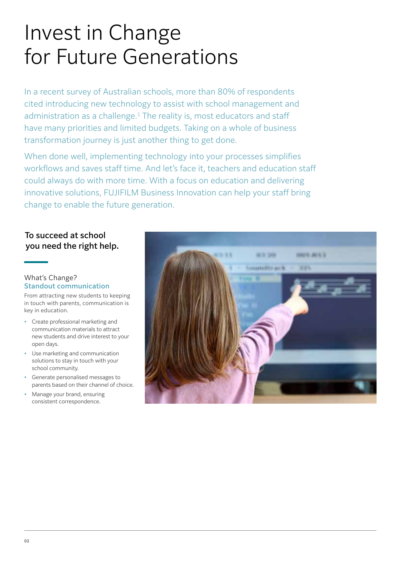# Invest in Change for Future Generations

In a recent survey of Australian schools, more than 80% of respondents cited introducing new technology to assist with school management and administration as a challenge.<sup>1</sup> The reality is, most educators and staff have many priorities and limited budgets. Taking on a whole of business transformation journey is just another thing to get done.

When done well, implementing technology into your processes simplifies workflows and saves staff time. And let's face it, teachers and education staff could always do with more time. With a focus on education and delivering innovative solutions, FUJIFILM Business Innovation can help your staff bring change to enable the future generation.

### To succeed at school you need the right help.

#### What's Change? Standout communication

From attracting new students to keeping in touch with parents, communication is key in education.

- Create professional marketing and communication materials to attract new students and drive interest to your open days.
- Use marketing and communication solutions to stay in touch with your school community.
- Generate personalised messages to parents based on their channel of choice.
- Manage your brand, ensuring consistent correspondence.

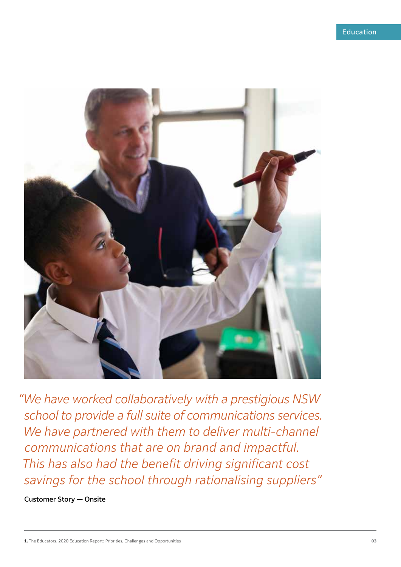

*"We have worked collaboratively with a prestigious NSW school to provide a full suite of communications services. We have partnered with them to deliver multi-channel communications that are on brand and impactful. This has also had the benefit driving significant cost savings for the school through rationalising suppliers"*

Customer Story — Onsite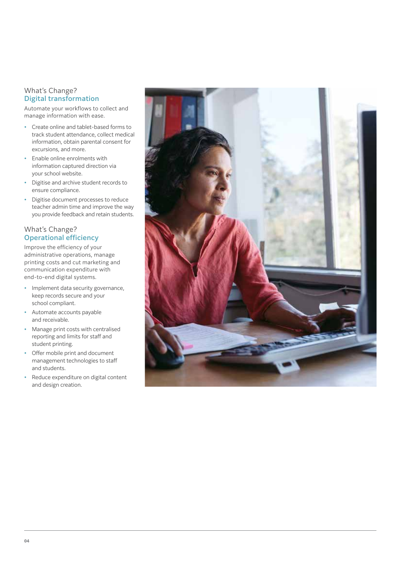#### What's Change? Digital transformation

Automate your workflows to collect and manage information with ease.

- Create online and tablet-based forms to track student attendance, collect medical information, obtain parental consent for excursions, and more.
- Enable online enrolments with information captured direction via your school website.
- Digitise and archive student records to ensure compliance.
- Digitise document processes to reduce teacher admin time and improve the way you provide feedback and retain students.

#### What's Change? Operational efficiency

Improve the efficiency of your administrative operations, manage printing costs and cut marketing and communication expenditure with end-to-end digital systems.

- Implement data security governance, keep records secure and your school compliant.
- Automate accounts payable and receivable.
- Manage print costs with centralised reporting and limits for staff and student printing.
- Offer mobile print and document management technologies to staff and students.
- Reduce expenditure on digital content and design creation.

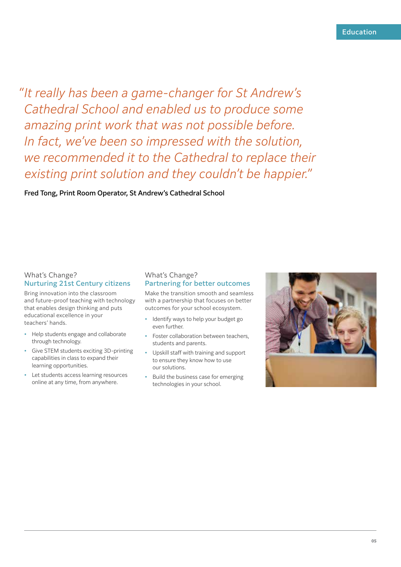"It really has been a game-changer for St Andrew's *Cathedral School and enabled us to produce some amazing print work that was not possible before. In fact, we've been so impressed with the solution, we recommended it to the Cathedral to replace their existing print solution and they couldn't be happier."*

Fred Tong, Print Room Operator, St Andrew's Cathedral School

#### What's Change? Nurturing 21st Century citizens

Bring innovation into the classroom and future-proof teaching with technology that enables design thinking and puts educational excellence in your teachers' hands.

- Help students engage and collaborate through technology.
- Give STEM students exciting 3D-printing capabilities in class to expand their learning opportunities.
- Let students access learning resources online at any time, from anywhere.

#### What's Change? Partnering for better outcomes

Make the transition smooth and seamless with a partnership that focuses on better outcomes for your school ecosystem.

- Identify ways to help your budget go even further.
- Foster collaboration between teachers, students and parents.
- Upskill staff with training and support to ensure they know how to use our solutions.
- Build the business case for emerging technologies in your school.

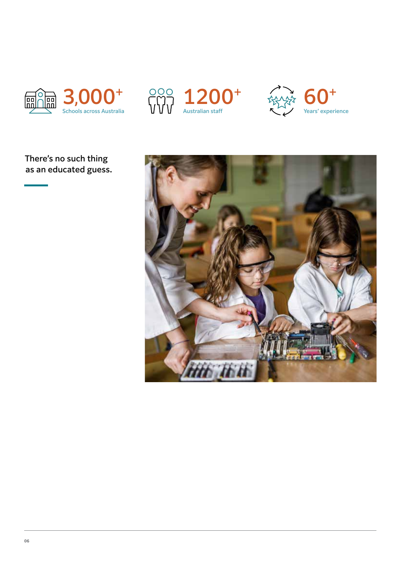





## There's no such thing as an educated guess.

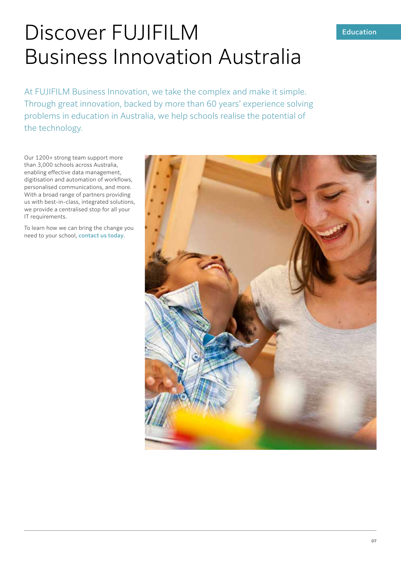#### Education

## Discover FUJIFILM Business Innovation Australia

At FUJIFILM Business Innovation, we take the complex and make it simple. Through great innovation, backed by more than 60 years' experience solving problems in education in Australia, we help schools realise the potential of the technology.

Our 1200+ strong team support more than 3,000 schools across Australia, enabling effective data management, digitisation and automation of workflows, personalised communications, and more. With a broad range of partners providing us with best-in-class, integrated solutions, we provide a centralised stop for all your IT requirements.

To learn how we can bring the change you need to your school, contact us today.